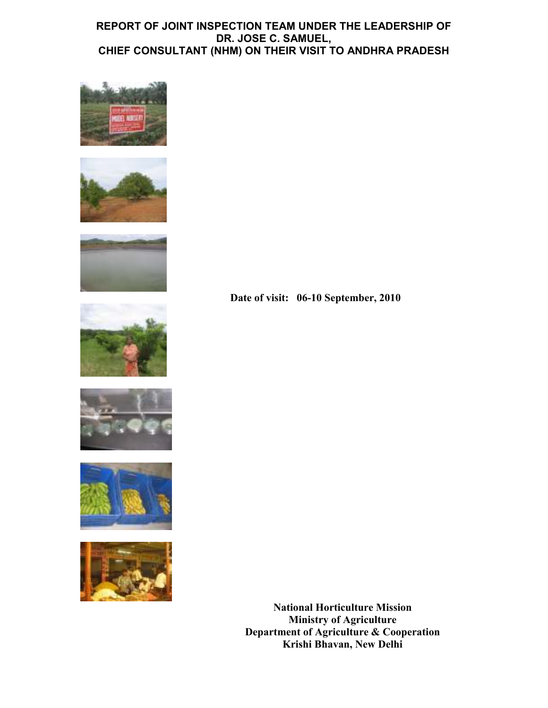## REPORT OF JOINT INSPECTION TEAM UNDER THE LEADERSHIP OF DR. JOSE C. SAMUEL, CHIEF CONSULTANT (NHM) ON THEIR VISIT TO ANDHRA PRADESH















National Horticulture Mission Ministry of Agriculture Department of Agriculture & Cooperation Krishi Bhavan, New Delhi

Date of visit: 06-10 September, 2010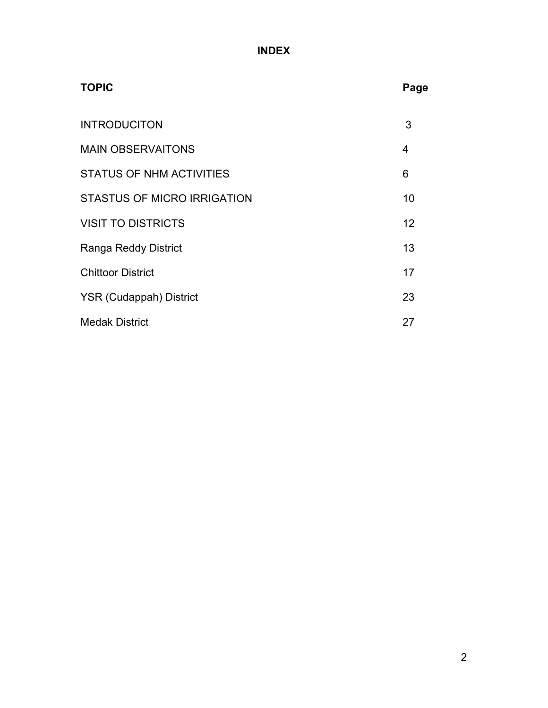# INDEX

| <b>TOPIC</b>                       | Page |
|------------------------------------|------|
| <b>INTRODUCITON</b>                | 3    |
| <b>MAIN OBSERVAITONS</b>           | 4    |
| <b>STATUS OF NHM ACTIVITIES</b>    | 6    |
| <b>STASTUS OF MICRO IRRIGATION</b> | 10   |
| <b>VISIT TO DISTRICTS</b>          | 12   |
| Ranga Reddy District               | 13   |
| <b>Chittoor District</b>           | 17   |
| <b>YSR (Cudappah) District</b>     | 23   |
| <b>Medak District</b>              | 27   |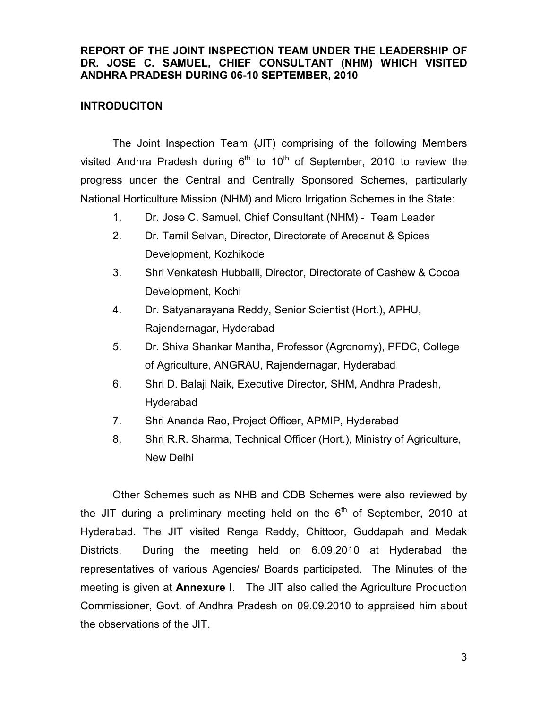### REPORT OF THE JOINT INSPECTION TEAM UNDER THE LEADERSHIP OF DR. JOSE C. SAMUEL, CHIEF CONSULTANT (NHM) WHICH VISITED ANDHRA PRADESH DURING 06-10 SEPTEMBER, 2010

## INTRODUCITON

The Joint Inspection Team (JIT) comprising of the following Members visited Andhra Pradesh during  $6<sup>th</sup>$  to 10<sup>th</sup> of September, 2010 to review the progress under the Central and Centrally Sponsored Schemes, particularly National Horticulture Mission (NHM) and Micro Irrigation Schemes in the State:

- 1. Dr. Jose C. Samuel, Chief Consultant (NHM) Team Leader
- 2. Dr. Tamil Selvan, Director, Directorate of Arecanut & Spices Development, Kozhikode
- 3. Shri Venkatesh Hubballi, Director, Directorate of Cashew & Cocoa Development, Kochi
- 4. Dr. Satyanarayana Reddy, Senior Scientist (Hort.), APHU, Rajendernagar, Hyderabad
- 5. Dr. Shiva Shankar Mantha, Professor (Agronomy), PFDC, College of Agriculture, ANGRAU, Rajendernagar, Hyderabad
- 6. Shri D. Balaji Naik, Executive Director, SHM, Andhra Pradesh, Hyderabad
- 7. Shri Ananda Rao, Project Officer, APMIP, Hyderabad
- 8. Shri R.R. Sharma, Technical Officer (Hort.), Ministry of Agriculture, New Delhi

Other Schemes such as NHB and CDB Schemes were also reviewed by the JIT during a preliminary meeting held on the  $6<sup>th</sup>$  of September, 2010 at Hyderabad. The JIT visited Renga Reddy, Chittoor, Guddapah and Medak Districts. During the meeting held on 6.09.2010 at Hyderabad the representatives of various Agencies/ Boards participated. The Minutes of the meeting is given at Annexure I. The JIT also called the Agriculture Production Commissioner, Govt. of Andhra Pradesh on 09.09.2010 to appraised him about the observations of the JIT.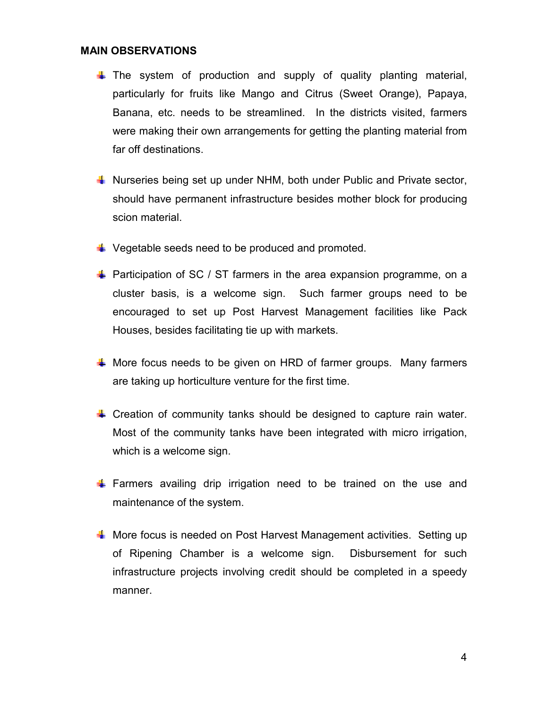#### MAIN OBSERVATIONS

- $\downarrow$  The system of production and supply of quality planting material, particularly for fruits like Mango and Citrus (Sweet Orange), Papaya, Banana, etc. needs to be streamlined. In the districts visited, farmers were making their own arrangements for getting the planting material from far off destinations.
- $\blacksquare$  Nurseries being set up under NHM, both under Public and Private sector, should have permanent infrastructure besides mother block for producing scion material.
- $\downarrow$  Vegetable seeds need to be produced and promoted.
- $\downarrow$  Participation of SC / ST farmers in the area expansion programme, on a cluster basis, is a welcome sign. Such farmer groups need to be encouraged to set up Post Harvest Management facilities like Pack Houses, besides facilitating tie up with markets.
- $\frac{4}{3}$  More focus needs to be given on HRD of farmer groups. Many farmers are taking up horticulture venture for the first time.
- $\downarrow$  Creation of community tanks should be designed to capture rain water. Most of the community tanks have been integrated with micro irrigation, which is a welcome sign.
- $\downarrow$  Farmers availing drip irrigation need to be trained on the use and maintenance of the system.
- **W** More focus is needed on Post Harvest Management activities. Setting up of Ripening Chamber is a welcome sign. Disbursement for such infrastructure projects involving credit should be completed in a speedy manner.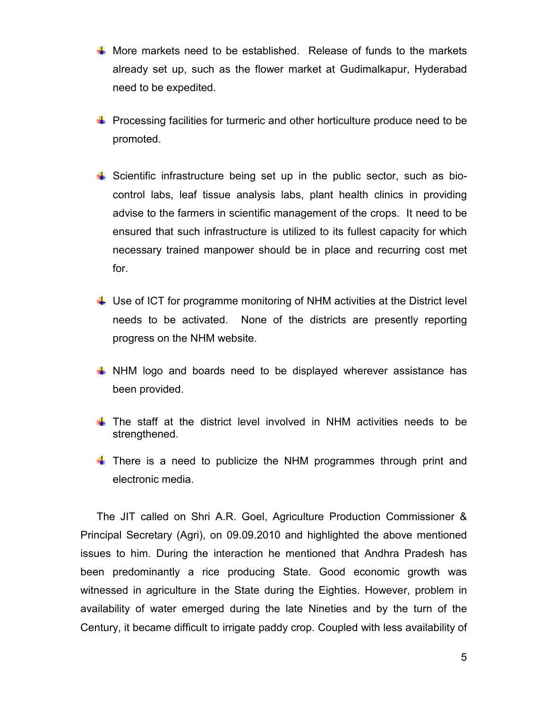- $\frac{1}{2}$  More markets need to be established. Release of funds to the markets already set up, such as the flower market at Gudimalkapur, Hyderabad need to be expedited.
- $\downarrow$  Processing facilities for turmeric and other horticulture produce need to be promoted.
- $\frac{1}{2}$  Scientific infrastructure being set up in the public sector, such as biocontrol labs, leaf tissue analysis labs, plant health clinics in providing advise to the farmers in scientific management of the crops. It need to be ensured that such infrastructure is utilized to its fullest capacity for which necessary trained manpower should be in place and recurring cost met for.
- $\downarrow$  Use of ICT for programme monitoring of NHM activities at the District level needs to be activated. None of the districts are presently reporting progress on the NHM website.
- **WHM logo and boards need to be displayed wherever assistance has** been provided.
- $\ddotmark$  The staff at the district level involved in NHM activities needs to be strengthened.
- $\blacksquare$  There is a need to publicize the NHM programmes through print and electronic media.

The JIT called on Shri A.R. Goel, Agriculture Production Commissioner & Principal Secretary (Agri), on 09.09.2010 and highlighted the above mentioned issues to him. During the interaction he mentioned that Andhra Pradesh has been predominantly a rice producing State. Good economic growth was witnessed in agriculture in the State during the Eighties. However, problem in availability of water emerged during the late Nineties and by the turn of the Century, it became difficult to irrigate paddy crop. Coupled with less availability of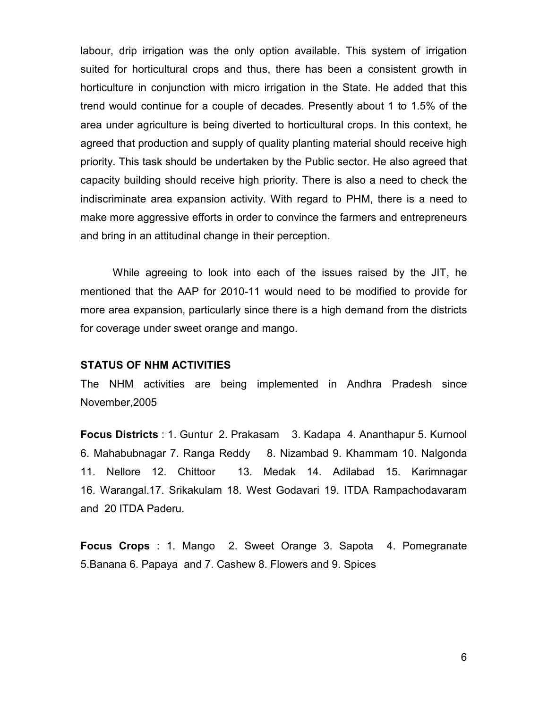labour, drip irrigation was the only option available. This system of irrigation suited for horticultural crops and thus, there has been a consistent growth in horticulture in conjunction with micro irrigation in the State. He added that this trend would continue for a couple of decades. Presently about 1 to 1.5% of the area under agriculture is being diverted to horticultural crops. In this context, he agreed that production and supply of quality planting material should receive high priority. This task should be undertaken by the Public sector. He also agreed that capacity building should receive high priority. There is also a need to check the indiscriminate area expansion activity. With regard to PHM, there is a need to make more aggressive efforts in order to convince the farmers and entrepreneurs and bring in an attitudinal change in their perception.

While agreeing to look into each of the issues raised by the JIT, he mentioned that the AAP for 2010-11 would need to be modified to provide for more area expansion, particularly since there is a high demand from the districts for coverage under sweet orange and mango.

#### STATUS OF NHM ACTIVITIES

The NHM activities are being implemented in Andhra Pradesh since November,2005

Focus Districts : 1. Guntur 2. Prakasam 3. Kadapa 4. Ananthapur 5. Kurnool 6. Mahabubnagar 7. Ranga Reddy 8. Nizambad 9. Khammam 10. Nalgonda 11. Nellore 12. Chittoor 13. Medak 14. Adilabad 15. Karimnagar 16. Warangal.17. Srikakulam 18. West Godavari 19. ITDA Rampachodavaram and 20 ITDA Paderu.

Focus Crops : 1. Mango 2. Sweet Orange 3. Sapota 4. Pomegranate 5.Banana 6. Papaya and 7. Cashew 8. Flowers and 9. Spices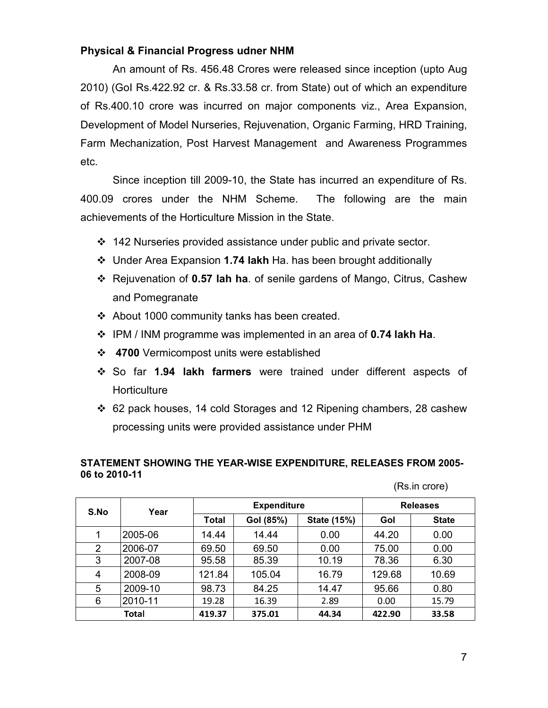## Physical & Financial Progress udner NHM

An amount of Rs. 456.48 Crores were released since inception (upto Aug 2010) (GoI Rs.422.92 cr. & Rs.33.58 cr. from State) out of which an expenditure of Rs.400.10 crore was incurred on major components viz., Area Expansion, Development of Model Nurseries, Rejuvenation, Organic Farming, HRD Training, Farm Mechanization, Post Harvest Management and Awareness Programmes etc.

Since inception till 2009-10, the State has incurred an expenditure of Rs. 400.09 crores under the NHM Scheme. The following are the main achievements of the Horticulture Mission in the State.

- 142 Nurseries provided assistance under public and private sector.
- Under Area Expansion 1.74 lakh Ha. has been brought additionally
- Rejuvenation of 0.57 lah ha. of senile gardens of Mango, Citrus, Cashew and Pomegranate
- About 1000 community tanks has been created.
- ❖ IPM / INM programme was implemented in an area of 0.74 lakh Ha.
- ❖ 4700 Vermicompost units were established
- So far 1.94 lakh farmers were trained under different aspects of **Horticulture**
- 62 pack houses, 14 cold Storages and 12 Ripening chambers, 28 cashew processing units were provided assistance under PHM

#### STATEMENT SHOWING THE YEAR-WISE EXPENDITURE, RELEASES FROM 2005- 06 to 2010-11

(Rs.in crore)

| S.No | Year         |                    | <b>Expenditure</b> | <b>Releases</b> |        |              |
|------|--------------|--------------------|--------------------|-----------------|--------|--------------|
|      |              | Gol (85%)<br>Total |                    | State (15%)     | Gol    | <b>State</b> |
|      | 2005-06      | 14.44              | 14.44              | 0.00            | 44.20  | 0.00         |
| 2    | 2006-07      | 69.50              | 69.50              | 0.00            | 75.00  | 0.00         |
| 3    | 2007-08      | 95.58              | 85.39              | 10.19           | 78.36  | 6.30         |
| 4    | 2008-09      | 121.84             | 105.04             | 16.79           | 129.68 | 10.69        |
| 5    | 2009-10      | 98.73              | 84.25              | 14.47           | 95.66  | 0.80         |
| 6    | 2010-11      | 19.28              | 16.39              | 2.89            | 0.00   | 15.79        |
|      | <b>Total</b> | 419.37             | 375.01             | 44.34           | 422.90 | 33.58        |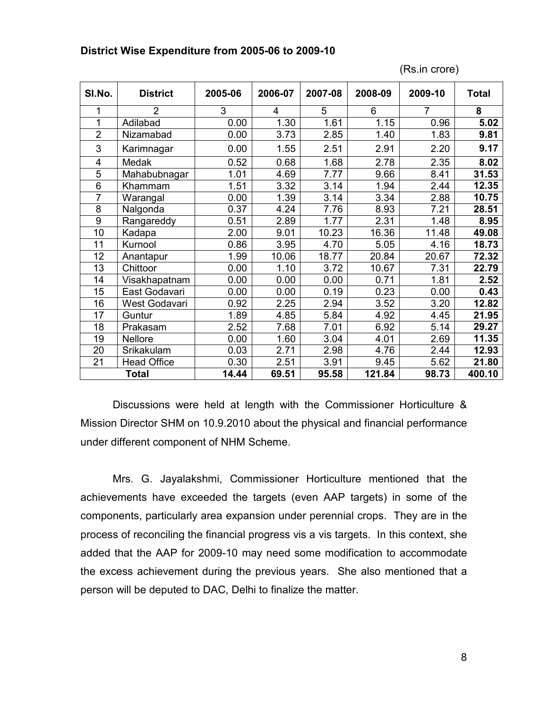#### District Wise Expenditure from 2005-06 to 2009-10

(Rs.in crore)

| SI.No.         | <b>District</b>    | 2005-06 | 2006-07 | 2007-08 | 2008-09 | 2009-10        | Total  |
|----------------|--------------------|---------|---------|---------|---------|----------------|--------|
| 1              | $\overline{2}$     | 3       | 4       | 5       | 6       | $\overline{7}$ | 8      |
| 1              | Adilabad           | 0.00    | 1.30    | 1.61    | 1.15    | 0.96           | 5.02   |
| $\overline{2}$ | Nizamabad          | 0.00    | 3.73    | 2.85    | 1.40    | 1.83           | 9.81   |
| 3              | Karimnagar         | 0.00    | 1.55    | 2.51    | 2.91    | 2.20           | 9.17   |
| 4              | Medak              | 0.52    | 0.68    | 1.68    | 2.78    | 2.35           | 8.02   |
| 5              | Mahabubnagar       | 1.01    | 4.69    | 7.77    | 9.66    | 8.41           | 31.53  |
| 6              | Khammam            | 1.51    | 3.32    | 3.14    | 1.94    | 2.44           | 12.35  |
| 7              | Warangal           | 0.00    | 1.39    | 3.14    | 3.34    | 2.88           | 10.75  |
| 8              | Nalgonda           | 0.37    | 4.24    | 7.76    | 8.93    | 7.21           | 28.51  |
| 9              | Rangareddy         | 0.51    | 2.89    | 1.77    | 2.31    | 1.48           | 8.95   |
| 10             | Kadapa             | 2.00    | 9.01    | 10.23   | 16.36   | 11.48          | 49.08  |
| 11             | Kurnool            | 0.86    | 3.95    | 4.70    | 5.05    | 4.16           | 18.73  |
| 12             | Anantapur          | 1.99    | 10.06   | 18.77   | 20.84   | 20.67          | 72.32  |
| 13             | Chittoor           | 0.00    | 1.10    | 3.72    | 10.67   | 7.31           | 22.79  |
| 14             | Visakhapatnam      | 0.00    | 0.00    | 0.00    | 0.71    | 1.81           | 2.52   |
| 15             | East Godavari      | 0.00    | 0.00    | 0.19    | 0.23    | 0.00           | 0.43   |
| 16             | West Godavari      | 0.92    | 2.25    | 2.94    | 3.52    | 3.20           | 12.82  |
| 17             | Guntur             | 1.89    | 4.85    | 5.84    | 4.92    | 4.45           | 21.95  |
| 18             | Prakasam           | 2.52    | 7.68    | 7.01    | 6.92    | 5.14           | 29.27  |
| 19             | Nellore            | 0.00    | 1.60    | 3.04    | 4.01    | 2.69           | 11.35  |
| 20             | Srikakulam         | 0.03    | 2.71    | 2.98    | 4.76    | 2.44           | 12.93  |
| 21             | <b>Head Office</b> | 0.30    | 2.51    | 3.91    | 9.45    | 5.62           | 21.80  |
|                | <b>Total</b>       | 14.44   | 69.51   | 95.58   | 121.84  | 98.73          | 400.10 |

 Discussions were held at length with the Commissioner Horticulture & Mission Director SHM on 10.9.2010 about the physical and financial performance under different component of NHM Scheme.

 Mrs. G. Jayalakshmi, Commissioner Horticulture mentioned that the achievements have exceeded the targets (even AAP targets) in some of the components, particularly area expansion under perennial crops. They are in the process of reconciling the financial progress vis a vis targets. In this context, she added that the AAP for 2009-10 may need some modification to accommodate the excess achievement during the previous years. She also mentioned that a person will be deputed to DAC, Delhi to finalize the matter.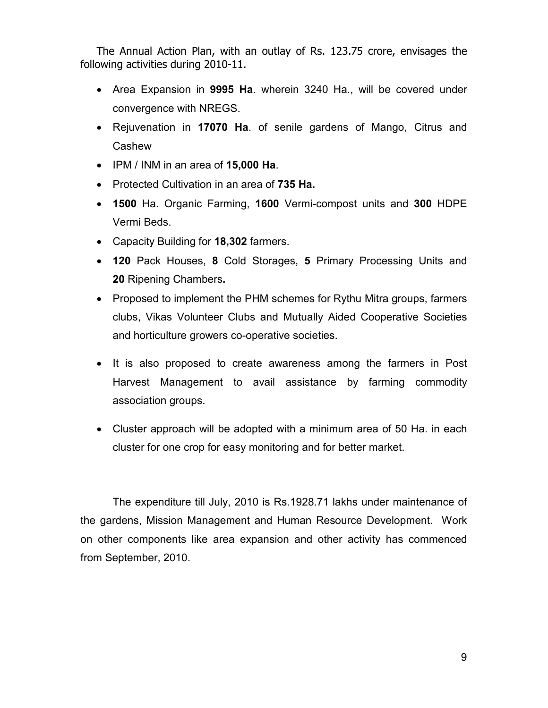The Annual Action Plan, with an outlay of Rs. 123.75 crore, envisages the following activities during 2010-11.

- Area Expansion in 9995 Ha. wherein 3240 Ha., will be covered under convergence with NREGS.
- Rejuvenation in 17070 Ha. of senile gardens of Mango, Citrus and Cashew
- IPM / INM in an area of 15,000 Ha.
- Protected Cultivation in an area of 735 Ha.
- 1500 Ha. Organic Farming, 1600 Vermi-compost units and 300 HDPE Vermi Beds.
- Capacity Building for 18,302 farmers.
- 120 Pack Houses, 8 Cold Storages, 5 Primary Processing Units and 20 Ripening Chambers.
- Proposed to implement the PHM schemes for Rythu Mitra groups, farmers clubs, Vikas Volunteer Clubs and Mutually Aided Cooperative Societies and horticulture growers co-operative societies.
- It is also proposed to create awareness among the farmers in Post Harvest Management to avail assistance by farming commodity association groups.
- Cluster approach will be adopted with a minimum area of 50 Ha. in each cluster for one crop for easy monitoring and for better market.

 The expenditure till July, 2010 is Rs.1928.71 lakhs under maintenance of the gardens, Mission Management and Human Resource Development. Work on other components like area expansion and other activity has commenced from September, 2010.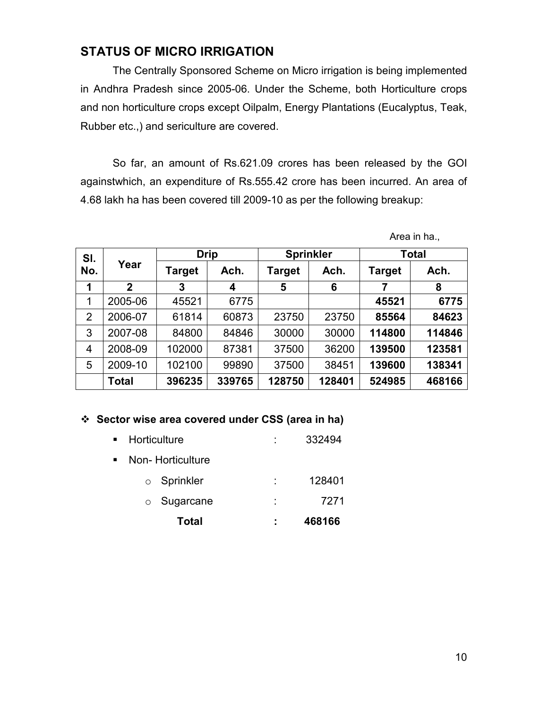# STATUS OF MICRO IRRIGATION

The Centrally Sponsored Scheme on Micro irrigation is being implemented in Andhra Pradesh since 2005-06. Under the Scheme, both Horticulture crops and non horticulture crops except Oilpalm, Energy Plantations (Eucalyptus, Teak, Rubber etc.,) and sericulture are covered.

So far, an amount of Rs.621.09 crores has been released by the GOI againstwhich, an expenditure of Rs.555.42 crore has been incurred. An area of 4.68 lakh ha has been covered till 2009-10 as per the following breakup:

| SI.            |              | <b>Drip</b>    |        | <b>Sprinkler</b>      |        | Total  |        |  |
|----------------|--------------|----------------|--------|-----------------------|--------|--------|--------|--|
| No.            | Year         | Ach.<br>Target |        | <b>Target</b><br>Ach. |        | Target | Ach.   |  |
| 1              | $\mathbf{2}$ | 3              | 4      | 5                     | 6      |        | 8      |  |
| 1              | 2005-06      | 45521          | 6775   |                       |        | 45521  | 6775   |  |
| $\overline{2}$ | 2006-07      | 61814          | 60873  | 23750                 | 23750  | 85564  | 84623  |  |
| 3              | 2007-08      | 84800          | 84846  | 30000                 | 30000  | 114800 | 114846 |  |
| 4              | 2008-09      | 102000         | 87381  | 37500                 | 36200  | 139500 | 123581 |  |
| 5              | 2009-10      | 102100         | 99890  | 37500                 | 38451  | 139600 | 138341 |  |
|                | <b>Total</b> | 396235         | 339765 | 128750                | 128401 | 524985 | 468166 |  |

# Area in ha.,

## Sector wise area covered under CSS (area in ha)

|                | <b>Total</b>      |   | 468166 |
|----------------|-------------------|---|--------|
|                | $\circ$ Sugarcane | ٠ | 7271   |
|                | ○ Sprinkler       | ۰ | 128401 |
| $\blacksquare$ | Non-Horticulture  |   |        |
| $\blacksquare$ | Horticulture      |   | 332494 |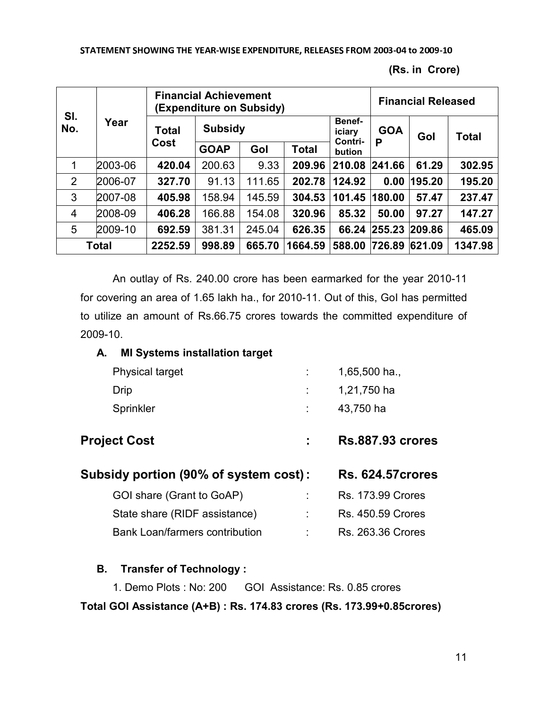(Rs. in Crore)

| SI.<br>No.     |         |              | <b>Financial Achievement</b><br>(Expenditure on Subsidy) |        |                  |                   |        |        | <b>Financial Released</b> |  |  |  |
|----------------|---------|--------------|----------------------------------------------------------|--------|------------------|-------------------|--------|--------|---------------------------|--|--|--|
|                | Year    | <b>Total</b> | <b>Subsidy</b>                                           |        | Benef-<br>iciary | <b>GOA</b>        | Gol    | Total  |                           |  |  |  |
|                |         | Cost         | <b>GOAP</b>                                              | Gol    | <b>Total</b>     | Contri-<br>bution | P      |        |                           |  |  |  |
|                | 2003-06 | 420.04       | 200.63                                                   | 9.33   | 209.96           | 210.08            | 241.66 | 61.29  | 302.95                    |  |  |  |
| 2              | 2006-07 | 327.70       | 91.13                                                    | 111.65 | 202.78           | 124.92            | 0.00   | 195.20 | 195.20                    |  |  |  |
| 3              | 2007-08 | 405.98       | 158.94                                                   | 145.59 | 304.53           | 101.45            | 180.00 | 57.47  | 237.47                    |  |  |  |
| $\overline{4}$ | 2008-09 | 406.28       | 166.88                                                   | 154.08 | 320.96           | 85.32             | 50.00  | 97.27  | 147.27                    |  |  |  |
| 5              | 2009-10 | 692.59       | 381.31                                                   | 245.04 | 626.35           | 66.24             | 255.23 | 209.86 | 465.09                    |  |  |  |
|                | Total   | 2252.59      | 998.89                                                   | 665.70 | 1664.59          | 588.00            | 726.89 | 621.09 | 1347.98                   |  |  |  |

An outlay of Rs. 240.00 crore has been earmarked for the year 2010-11 for covering an area of 1.65 lakh ha., for 2010-11. Out of this, GoI has permitted to utilize an amount of Rs.66.75 crores towards the committed expenditure of 2009-10.

#### A. MI Systems installation target

| <b>Physical target</b> | $1,65,500$ ha., |
|------------------------|-----------------|
| Drip                   | 1,21,750 ha     |
| Sprinkler              | 43,750 ha       |
|                        |                 |

# Project Cost : Rs.887.93 crores

| Subsidy portion (90% of system cost): | <b>Rs. 624.57 crores</b> |                          |
|---------------------------------------|--------------------------|--------------------------|
| GOI share (Grant to GoAP)             |                          | <b>Rs. 173.99 Crores</b> |
| State share (RIDF assistance)         |                          | <b>Rs. 450.59 Crores</b> |
| <b>Bank Loan/farmers contribution</b> |                          | <b>Rs. 263.36 Crores</b> |

#### B. Transfer of Technology :

1. Demo Plots : No: 200 GOI Assistance: Rs. 0.85 crores

# Total GOI Assistance (A+B) : Rs. 174.83 crores (Rs. 173.99+0.85crores)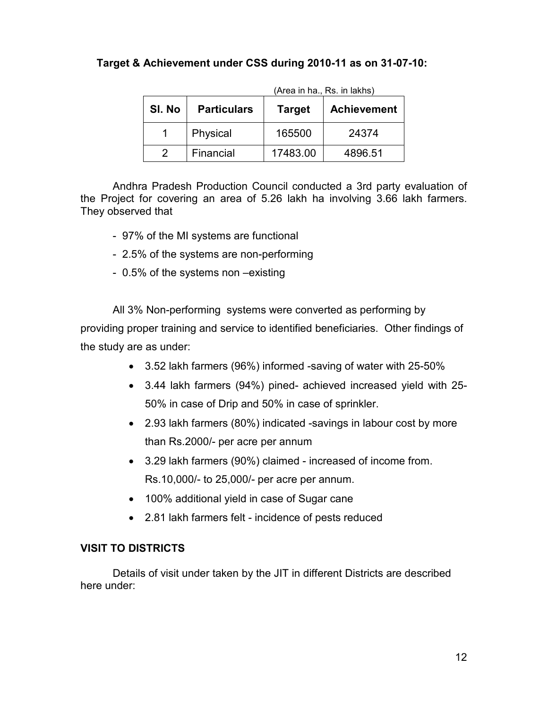# Target & Achievement under CSS during 2010-11 as on 31-07-10:

|        |                    |               | (Area in ha., Rs. in lakhs) |
|--------|--------------------|---------------|-----------------------------|
| SI. No | <b>Particulars</b> | <b>Target</b> | <b>Achievement</b>          |
|        | Physical           | 165500        | 24374                       |
|        | Financial          | 17483.00      | 4896.51                     |

Andhra Pradesh Production Council conducted a 3rd party evaluation of the Project for covering an area of 5.26 lakh ha involving 3.66 lakh farmers.

- They observed that
	- 97% of the MI systems are functional
	- 2.5% of the systems are non-performing
	- 0.5% of the systems non –existing

All 3% Non-performing systems were converted as performing by providing proper training and service to identified beneficiaries. Other findings of the study are as under:

- 3.52 lakh farmers (96%) informed -saving of water with 25-50%
- 3.44 lakh farmers (94%) pined- achieved increased yield with 25- 50% in case of Drip and 50% in case of sprinkler.
- 2.93 lakh farmers (80%) indicated -savings in labour cost by more than Rs.2000/- per acre per annum
- 3.29 lakh farmers (90%) claimed increased of income from. Rs.10,000/- to 25,000/- per acre per annum.
- 100% additional yield in case of Sugar cane
- 2.81 lakh farmers felt incidence of pests reduced

# VISIT TO DISTRICTS

Details of visit under taken by the JIT in different Districts are described here under: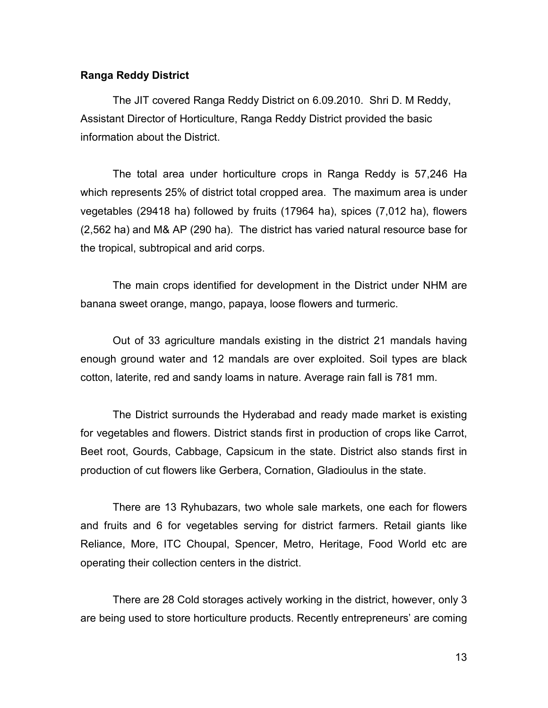#### Ranga Reddy District

The JIT covered Ranga Reddy District on 6.09.2010. Shri D. M Reddy, Assistant Director of Horticulture, Ranga Reddy District provided the basic information about the District.

 The total area under horticulture crops in Ranga Reddy is 57,246 Ha which represents 25% of district total cropped area. The maximum area is under vegetables (29418 ha) followed by fruits (17964 ha), spices (7,012 ha), flowers (2,562 ha) and M& AP (290 ha). The district has varied natural resource base for the tropical, subtropical and arid corps.

The main crops identified for development in the District under NHM are banana sweet orange, mango, papaya, loose flowers and turmeric.

Out of 33 agriculture mandals existing in the district 21 mandals having enough ground water and 12 mandals are over exploited. Soil types are black cotton, laterite, red and sandy loams in nature. Average rain fall is 781 mm.

The District surrounds the Hyderabad and ready made market is existing for vegetables and flowers. District stands first in production of crops like Carrot, Beet root, Gourds, Cabbage, Capsicum in the state. District also stands first in production of cut flowers like Gerbera, Cornation, Gladioulus in the state.

There are 13 Ryhubazars, two whole sale markets, one each for flowers and fruits and 6 for vegetables serving for district farmers. Retail giants like Reliance, More, ITC Choupal, Spencer, Metro, Heritage, Food World etc are operating their collection centers in the district.

There are 28 Cold storages actively working in the district, however, only 3 are being used to store horticulture products. Recently entrepreneurs' are coming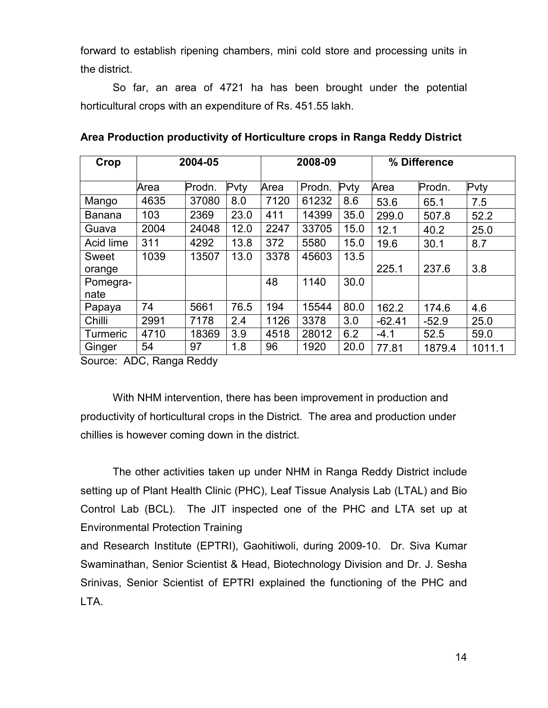forward to establish ripening chambers, mini cold store and processing units in the district.

So far, an area of 4721 ha has been brought under the potential horticultural crops with an expenditure of Rs. 451.55 lakh.

| Crop          | 2004-05 |        |      |      | 2008-09 |      |          | % Difference |        |  |
|---------------|---------|--------|------|------|---------|------|----------|--------------|--------|--|
|               | Area    | Prodn. | Pvty | Area | Prodn.  | Pvty | Area     | Prodn.       | Pvty   |  |
| Mango         | 4635    | 37080  | 8.0  | 7120 | 61232   | 8.6  | 53.6     | 65.1         | 7.5    |  |
| <b>Banana</b> | 103     | 2369   | 23.0 | 411  | 14399   | 35.0 | 299.0    | 507.8        | 52.2   |  |
| Guava         | 2004    | 24048  | 12.0 | 2247 | 33705   | 15.0 | 12.1     | 40.2         | 25.0   |  |
| Acid lime     | 311     | 4292   | 13.8 | 372  | 5580    | 15.0 | 19.6     | 30.1         | 8.7    |  |
| Sweet         | 1039    | 13507  | 13.0 | 3378 | 45603   | 13.5 |          |              |        |  |
| orange        |         |        |      |      |         |      | 225.1    | 237.6        | 3.8    |  |
| Pomegra-      |         |        |      | 48   | 1140    | 30.0 |          |              |        |  |
| nate          |         |        |      |      |         |      |          |              |        |  |
| Papaya        | 74      | 5661   | 76.5 | 194  | 15544   | 80.0 | 162.2    | 174.6        | 4.6    |  |
| Chilli        | 2991    | 7178   | 2.4  | 1126 | 3378    | 3.0  | $-62.41$ | $-52.9$      | 25.0   |  |
| Turmeric      | 4710    | 18369  | 3.9  | 4518 | 28012   | 6.2  | $-4.1$   | 52.5         | 59.0   |  |
| Ginger        | 54      | 97     | 1.8  | 96   | 1920    | 20.0 | 77.81    | 1879.4       | 1011.1 |  |

Source: ADC, Ranga Reddy

 With NHM intervention, there has been improvement in production and productivity of horticultural crops in the District. The area and production under chillies is however coming down in the district.

 The other activities taken up under NHM in Ranga Reddy District include setting up of Plant Health Clinic (PHC), Leaf Tissue Analysis Lab (LTAL) and Bio Control Lab (BCL). The JIT inspected one of the PHC and LTA set up at Environmental Protection Training

and Research Institute (EPTRI), Gaohitiwoli, during 2009-10. Dr. Siva Kumar Swaminathan, Senior Scientist & Head, Biotechnology Division and Dr. J. Sesha Srinivas, Senior Scientist of EPTRI explained the functioning of the PHC and LTA.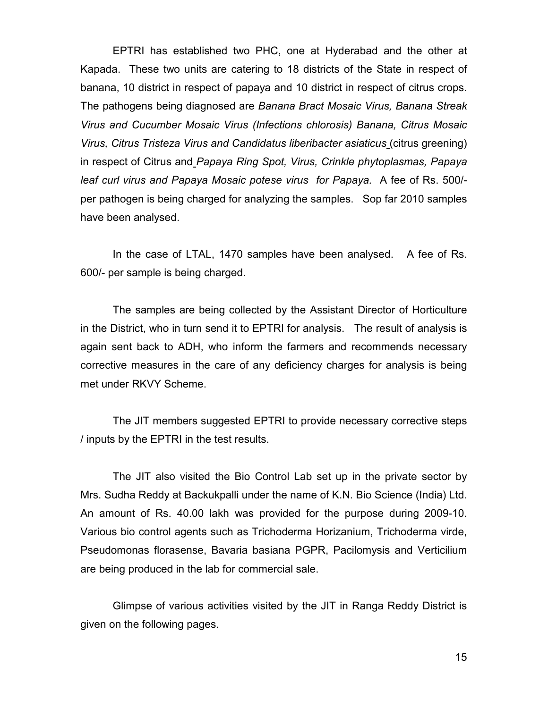EPTRI has established two PHC, one at Hyderabad and the other at Kapada. These two units are catering to 18 districts of the State in respect of banana, 10 district in respect of papaya and 10 district in respect of citrus crops. The pathogens being diagnosed are Banana Bract Mosaic Virus, Banana Streak Virus and Cucumber Mosaic Virus (Infections chlorosis) Banana, Citrus Mosaic Virus, Citrus Tristeza Virus and Candidatus liberibacter asiaticus (citrus greening) in respect of Citrus and Papaya Ring Spot, Virus, Crinkle phytoplasmas, Papaya leaf curl virus and Papaya Mosaic potese virus for Papaya. A fee of Rs. 500/ per pathogen is being charged for analyzing the samples. Sop far 2010 samples have been analysed.

 In the case of LTAL, 1470 samples have been analysed. A fee of Rs. 600/- per sample is being charged.

 The samples are being collected by the Assistant Director of Horticulture in the District, who in turn send it to EPTRI for analysis. The result of analysis is again sent back to ADH, who inform the farmers and recommends necessary corrective measures in the care of any deficiency charges for analysis is being met under RKVY Scheme.

The JIT members suggested EPTRI to provide necessary corrective steps / inputs by the EPTRI in the test results.

The JIT also visited the Bio Control Lab set up in the private sector by Mrs. Sudha Reddy at Backukpalli under the name of K.N. Bio Science (India) Ltd. An amount of Rs. 40.00 lakh was provided for the purpose during 2009-10. Various bio control agents such as Trichoderma Horizanium, Trichoderma virde, Pseudomonas florasense, Bavaria basiana PGPR, Pacilomysis and Verticilium are being produced in the lab for commercial sale.

 Glimpse of various activities visited by the JIT in Ranga Reddy District is given on the following pages.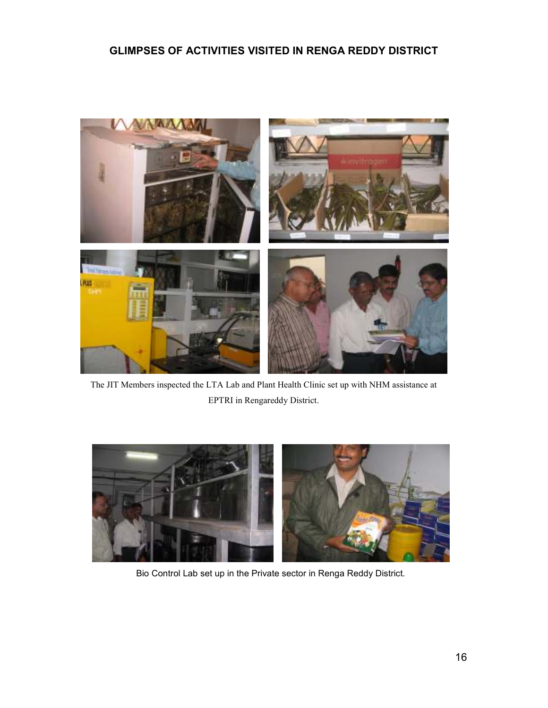# GLIMPSES OF ACTIVITIES VISITED IN RENGA REDDY DISTRICT



The JIT Members inspected the LTA Lab and Plant Health Clinic set up with NHM assistance at EPTRI in Rengareddy District.



Bio Control Lab set up in the Private sector in Renga Reddy District.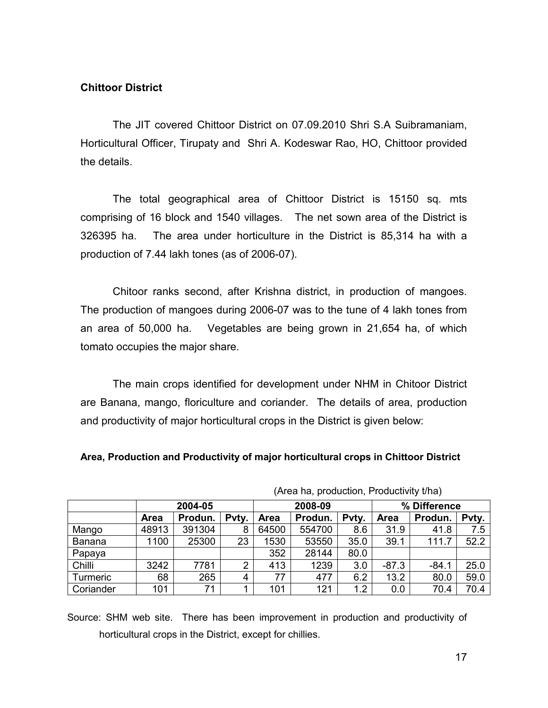## Chittoor District

 The JIT covered Chittoor District on 07.09.2010 Shri S.A Suibramaniam, Horticultural Officer, Tirupaty and Shri A. Kodeswar Rao, HO, Chittoor provided the details.

 The total geographical area of Chittoor District is 15150 sq. mts comprising of 16 block and 1540 villages. The net sown area of the District is 326395 ha. The area under horticulture in the District is 85,314 ha with a production of 7.44 lakh tones (as of 2006-07).

 Chitoor ranks second, after Krishna district, in production of mangoes. The production of mangoes during 2006-07 was to the tune of 4 lakh tones from an area of 50,000 ha. Vegetables are being grown in 21,654 ha, of which tomato occupies the major share.

 The main crops identified for development under NHM in Chitoor District are Banana, mango, floriculture and coriander. The details of area, production and productivity of major horticultural crops in the District is given below:

Area, Production and Productivity of major horticultural crops in Chittoor District

|               | $(7.004.001, 0.000000000, 1.000000000, 0.007)$ |         |       |         |         |       |              |         |       |
|---------------|------------------------------------------------|---------|-------|---------|---------|-------|--------------|---------|-------|
|               |                                                | 2004-05 |       | 2008-09 |         |       | % Difference |         |       |
|               | Area                                           | Produn. | Pvty. | Area    | Produn. | Pvty. | <b>Area</b>  | Produn. | Pvty. |
| Mango         | 48913                                          | 391304  | 8     | 64500   | 554700  | 8.6   | 31.9         | 41.8    | 7.5   |
| <b>Banana</b> | 1100                                           | 25300   | 23    | 1530    | 53550   | 35.0  | 39.1         | 111.7   | 52.2  |
| Papaya        |                                                |         |       | 352     | 28144   | 80.0  |              |         |       |
| Chilli        | 3242                                           | 7781    | 2     | 413     | 1239    | 3.0   | $-87.3$      | -84.1   | 25.0  |
| Turmeric      | 68                                             | 265     | 4     | 77      | 477     | 6.2   | 13.2         | 80.0    | 59.0  |
| Coriander     | 101                                            | 71      |       | 101     | 121     | 1.2   | 0.0          | 70.4    | 70.4  |

(Area ha, production, Productivity t/ha)

 Source: SHM web site. There has been improvement in production and productivity of horticultural crops in the District, except for chillies.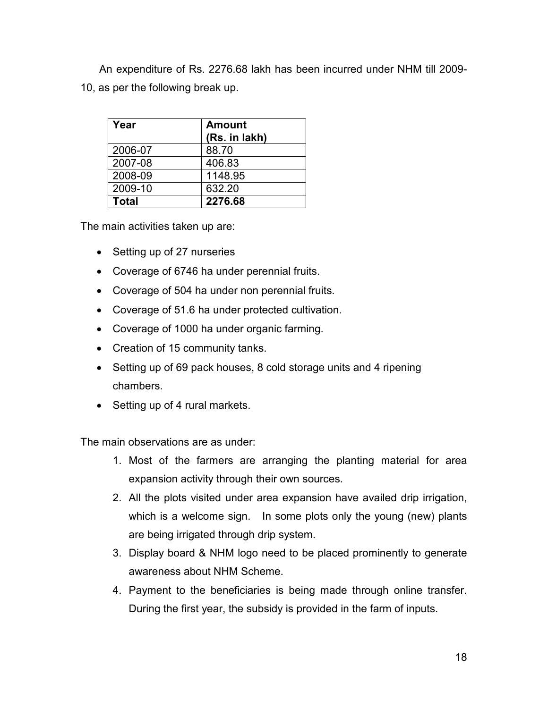An expenditure of Rs. 2276.68 lakh has been incurred under NHM till 2009- 10, as per the following break up.

| Year         | <b>Amount</b><br>(Rs. in lakh) |
|--------------|--------------------------------|
| 2006-07      | 88.70                          |
| 2007-08      | 406.83                         |
| 2008-09      | 1148.95                        |
| 2009-10      | 632.20                         |
| <b>Total</b> | 2276.68                        |

The main activities taken up are:

- Setting up of 27 nurseries
- Coverage of 6746 ha under perennial fruits.
- Coverage of 504 ha under non perennial fruits.
- Coverage of 51.6 ha under protected cultivation.
- Coverage of 1000 ha under organic farming.
- Creation of 15 community tanks.
- Setting up of 69 pack houses, 8 cold storage units and 4 ripening chambers.
- Setting up of 4 rural markets.

The main observations are as under:

- 1. Most of the farmers are arranging the planting material for area expansion activity through their own sources.
- 2. All the plots visited under area expansion have availed drip irrigation, which is a welcome sign. In some plots only the young (new) plants are being irrigated through drip system.
- 3. Display board & NHM logo need to be placed prominently to generate awareness about NHM Scheme.
- 4. Payment to the beneficiaries is being made through online transfer. During the first year, the subsidy is provided in the farm of inputs.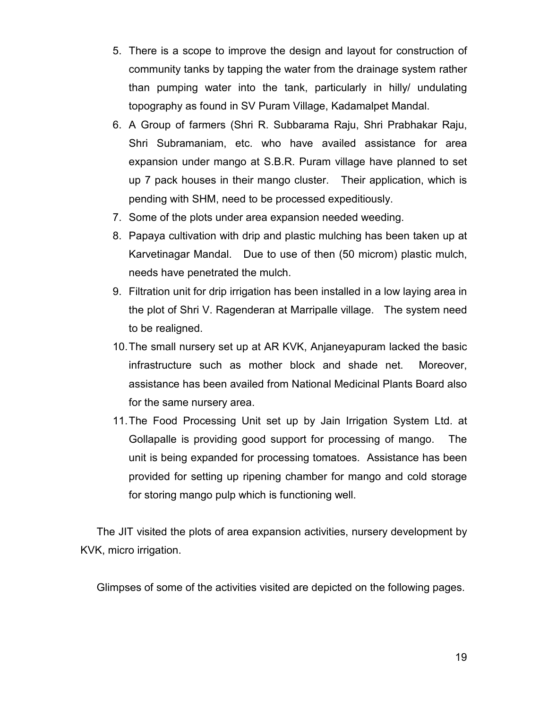- 5. There is a scope to improve the design and layout for construction of community tanks by tapping the water from the drainage system rather than pumping water into the tank, particularly in hilly/ undulating topography as found in SV Puram Village, Kadamalpet Mandal.
- 6. A Group of farmers (Shri R. Subbarama Raju, Shri Prabhakar Raju, Shri Subramaniam, etc. who have availed assistance for area expansion under mango at S.B.R. Puram village have planned to set up 7 pack houses in their mango cluster. Their application, which is pending with SHM, need to be processed expeditiously.
- 7. Some of the plots under area expansion needed weeding.
- 8. Papaya cultivation with drip and plastic mulching has been taken up at Karvetinagar Mandal. Due to use of then (50 microm) plastic mulch, needs have penetrated the mulch.
- 9. Filtration unit for drip irrigation has been installed in a low laying area in the plot of Shri V. Ragenderan at Marripalle village. The system need to be realigned.
- 10. The small nursery set up at AR KVK, Anjaneyapuram lacked the basic infrastructure such as mother block and shade net. Moreover, assistance has been availed from National Medicinal Plants Board also for the same nursery area.
- 11. The Food Processing Unit set up by Jain Irrigation System Ltd. at Gollapalle is providing good support for processing of mango. The unit is being expanded for processing tomatoes. Assistance has been provided for setting up ripening chamber for mango and cold storage for storing mango pulp which is functioning well.

The JIT visited the plots of area expansion activities, nursery development by KVK, micro irrigation.

Glimpses of some of the activities visited are depicted on the following pages.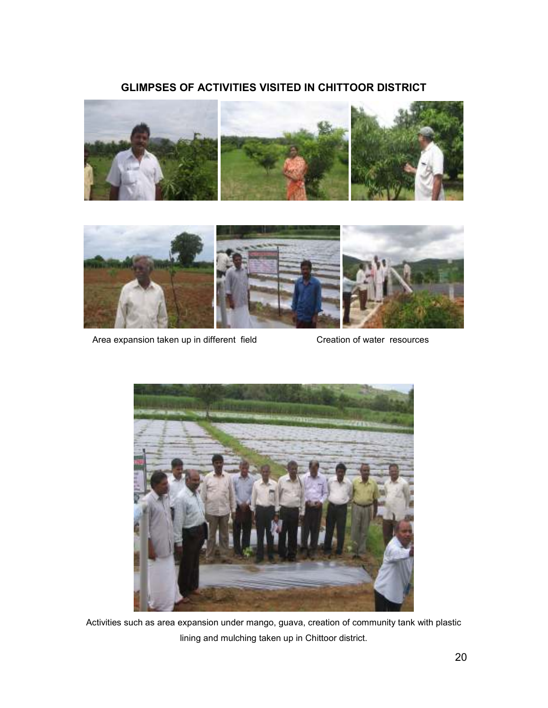# GLIMPSES OF ACTIVITIES VISITED IN CHITTOOR DISTRICT





Area expansion taken up in different field Creation of water resources



Activities such as area expansion under mango, guava, creation of community tank with plastic lining and mulching taken up in Chittoor district.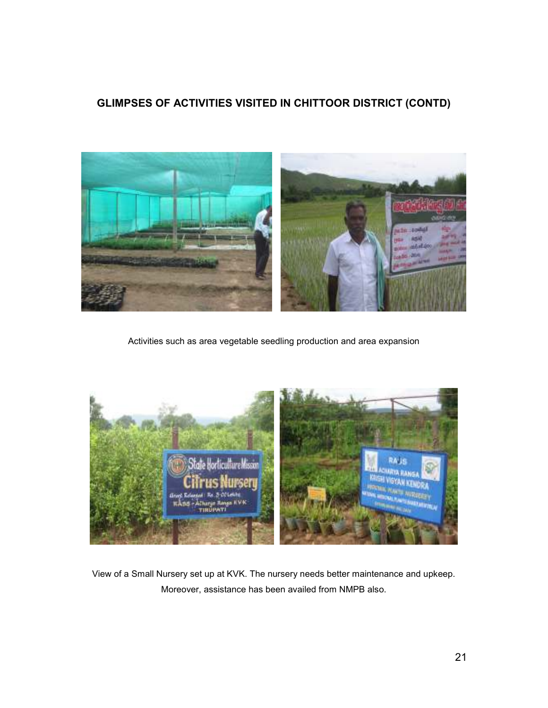# GLIMPSES OF ACTIVITIES VISITED IN CHITTOOR DISTRICT (CONTD)



Activities such as area vegetable seedling production and area expansion



View of a Small Nursery set up at KVK. The nursery needs better maintenance and upkeep. Moreover, assistance has been availed from NMPB also.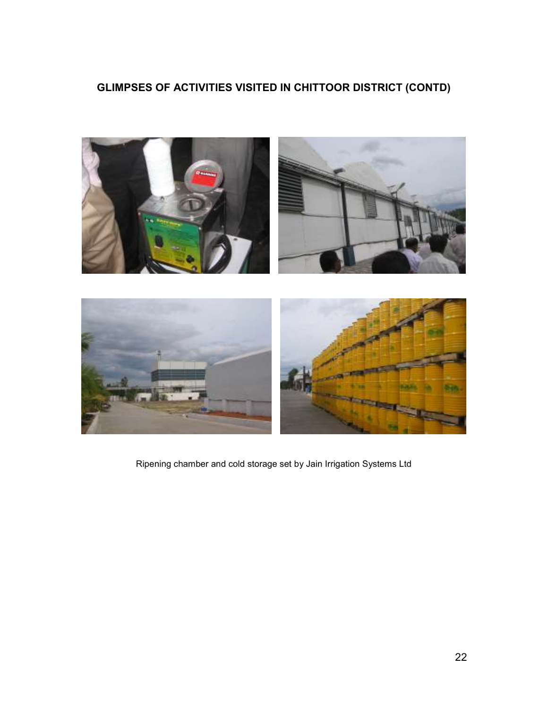# GLIMPSES OF ACTIVITIES VISITED IN CHITTOOR DISTRICT (CONTD)



Ripening chamber and cold storage set by Jain Irrigation Systems Ltd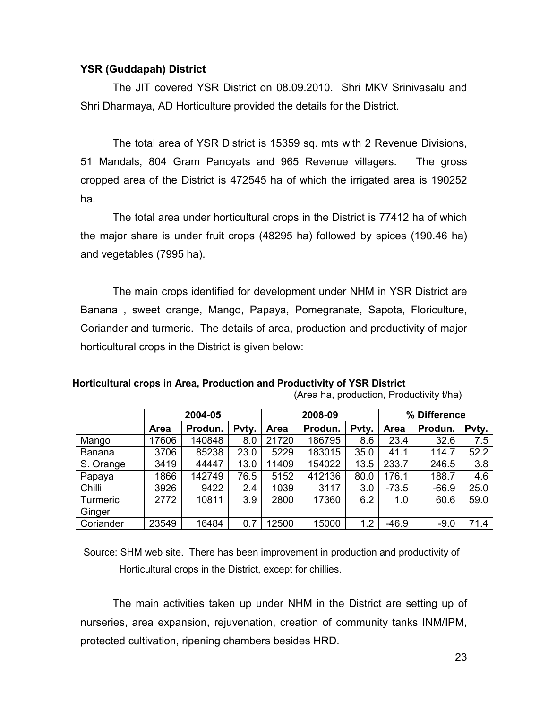## YSR (Guddapah) District

 The JIT covered YSR District on 08.09.2010. Shri MKV Srinivasalu and Shri Dharmaya, AD Horticulture provided the details for the District.

 The total area of YSR District is 15359 sq. mts with 2 Revenue Divisions, 51 Mandals, 804 Gram Pancyats and 965 Revenue villagers. The gross cropped area of the District is 472545 ha of which the irrigated area is 190252 ha.

 The total area under horticultural crops in the District is 77412 ha of which the major share is under fruit crops (48295 ha) followed by spices (190.46 ha) and vegetables (7995 ha).

 The main crops identified for development under NHM in YSR District are Banana , sweet orange, Mango, Papaya, Pomegranate, Sapota, Floriculture, Coriander and turmeric. The details of area, production and productivity of major horticultural crops in the District is given below:

Horticultural crops in Area, Production and Productivity of YSR District (Area ha, production, Productivity t/ha)

|               |             | 2004-05 |       |             | 2008-09 |       | % Difference |         |       |
|---------------|-------------|---------|-------|-------------|---------|-------|--------------|---------|-------|
|               | <b>Area</b> | Produn. | Pvty. | <b>Area</b> | Produn. | Pvty. | <b>Area</b>  | Produn. | Pvty. |
| Mango         | 17606       | 140848  | 8.0   | 21720       | 186795  | 8.6   | 23.4         | 32.6    | 7.5   |
| <b>Banana</b> | 3706        | 85238   | 23.0  | 5229        | 183015  | 35.0  | 41.1         | 114.7   | 52.2  |
| S. Orange     | 3419        | 44447   | 13.0  | 11409       | 154022  | 13.5  | 233.7        | 246.5   | 3.8   |
| Papaya        | 1866        | 142749  | 76.5  | 5152        | 412136  | 80.0  | 176.1        | 188.7   | 4.6   |
| Chilli        | 3926        | 9422    | 2.4   | 1039        | 3117    | 3.0   | $-73.5$      | $-66.9$ | 25.0  |
| Turmeric      | 2772        | 10811   | 3.9   | 2800        | 17360   | 6.2   | 1.0          | 60.6    | 59.0  |
| Ginger        |             |         |       |             |         |       |              |         |       |
| Coriander     | 23549       | 16484   | 0.7   | 12500       | 15000   | 1.2   | $-46.9$      | $-9.0$  | 71.4  |

 Source: SHM web site. There has been improvement in production and productivity of Horticultural crops in the District, except for chillies.

 The main activities taken up under NHM in the District are setting up of nurseries, area expansion, rejuvenation, creation of community tanks INM/IPM, protected cultivation, ripening chambers besides HRD.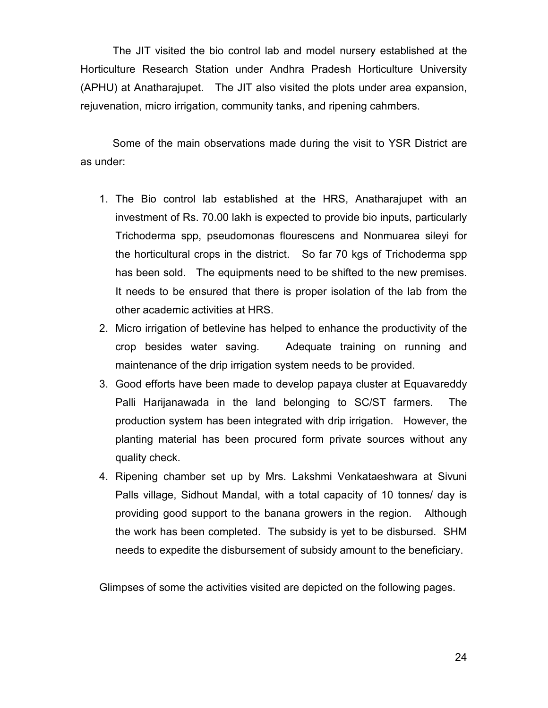The JIT visited the bio control lab and model nursery established at the Horticulture Research Station under Andhra Pradesh Horticulture University (APHU) at Anatharajupet. The JIT also visited the plots under area expansion, rejuvenation, micro irrigation, community tanks, and ripening cahmbers.

 Some of the main observations made during the visit to YSR District are as under:

- 1. The Bio control lab established at the HRS, Anatharajupet with an investment of Rs. 70.00 lakh is expected to provide bio inputs, particularly Trichoderma spp, pseudomonas flourescens and Nonmuarea sileyi for the horticultural crops in the district. So far 70 kgs of Trichoderma spp has been sold. The equipments need to be shifted to the new premises. It needs to be ensured that there is proper isolation of the lab from the other academic activities at HRS.
- 2. Micro irrigation of betlevine has helped to enhance the productivity of the crop besides water saving. Adequate training on running and maintenance of the drip irrigation system needs to be provided.
- 3. Good efforts have been made to develop papaya cluster at Equavareddy Palli Harijanawada in the land belonging to SC/ST farmers. The production system has been integrated with drip irrigation. However, the planting material has been procured form private sources without any quality check.
- 4. Ripening chamber set up by Mrs. Lakshmi Venkataeshwara at Sivuni Palls village, Sidhout Mandal, with a total capacity of 10 tonnes/ day is providing good support to the banana growers in the region. Although the work has been completed. The subsidy is yet to be disbursed. SHM needs to expedite the disbursement of subsidy amount to the beneficiary.

Glimpses of some the activities visited are depicted on the following pages.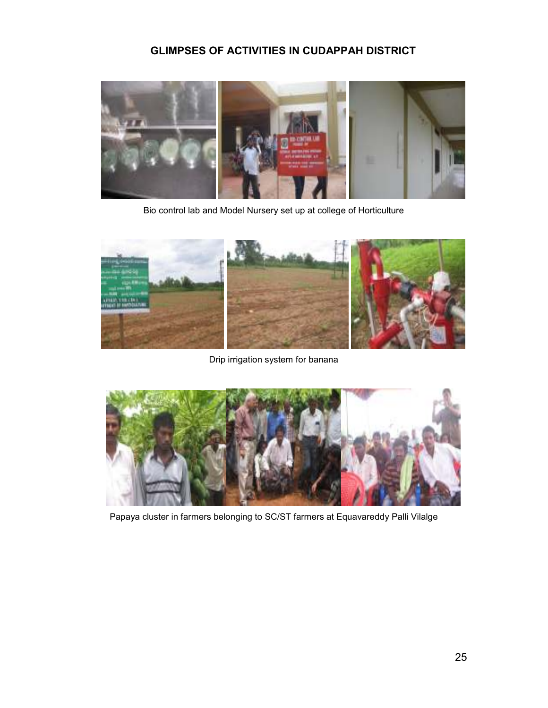# GLIMPSES OF ACTIVITIES IN CUDAPPAH DISTRICT



Bio control lab and Model Nursery set up at college of Horticulture



Drip irrigation system for banana



Papaya cluster in farmers belonging to SC/ST farmers at Equavareddy Palli Vilalge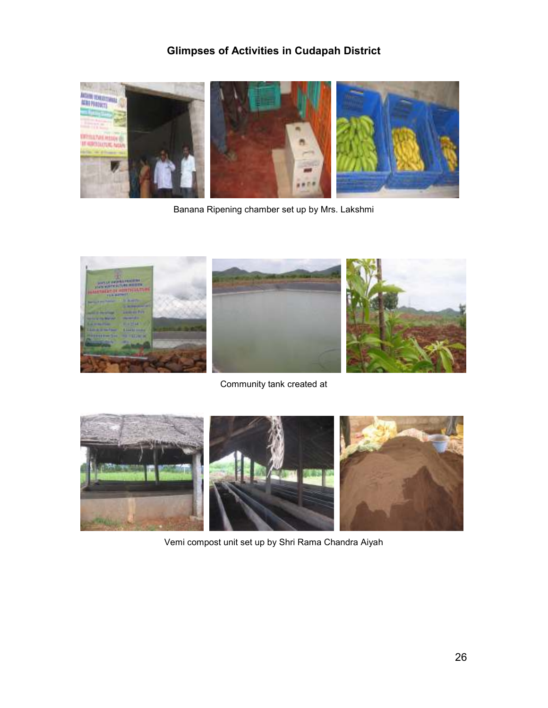# Glimpses of Activities in Cudapah District



Banana Ripening chamber set up by Mrs. Lakshmi



Community tank created at



Vemi compost unit set up by Shri Rama Chandra Aiyah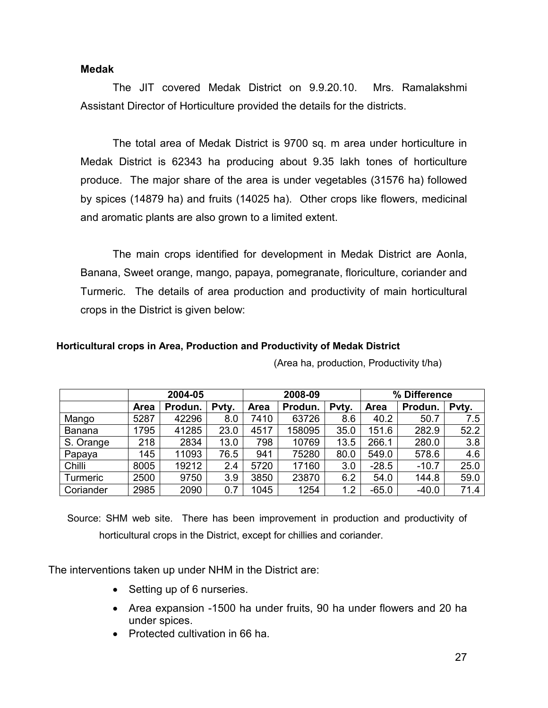### Medak

The JIT covered Medak District on 9.9.20.10. Mrs. Ramalakshmi Assistant Director of Horticulture provided the details for the districts.

The total area of Medak District is 9700 sq. m area under horticulture in Medak District is 62343 ha producing about 9.35 lakh tones of horticulture produce. The major share of the area is under vegetables (31576 ha) followed by spices (14879 ha) and fruits (14025 ha). Other crops like flowers, medicinal and aromatic plants are also grown to a limited extent.

The main crops identified for development in Medak District are Aonla, Banana, Sweet orange, mango, papaya, pomegranate, floriculture, coriander and Turmeric. The details of area production and productivity of main horticultural crops in the District is given below:

#### Horticultural crops in Area, Production and Productivity of Medak District

|               | 2004-05     |         |       | 2008-09 |         |       | % Difference |         |       |
|---------------|-------------|---------|-------|---------|---------|-------|--------------|---------|-------|
|               | <b>Area</b> | Produn. | Pvty. | Area    | Produn. | Pvty. | Area         | Produn. | Pvty. |
| Mango         | 5287        | 42296   | 8.0   | 7410    | 63726   | 8.6   | 40.2         | 50.7    | 7.5   |
| <b>Banana</b> | 1795        | 41285   | 23.0  | 4517    | 158095  | 35.0  | 151.6        | 282.9   | 52.2  |
| S. Orange     | 218         | 2834    | 13.0  | 798     | 10769   | 13.5  | 266.1        | 280.0   | 3.8   |
| Papaya        | 145         | 11093   | 76.5  | 941     | 75280   | 80.0  | 549.0        | 578.6   | 4.6   |
| Chilli        | 8005        | 19212   | 2.4   | 5720    | 17160   | 3.0   | $-28.5$      | $-10.7$ | 25.0  |
| Turmeric      | 2500        | 9750    | 3.9   | 3850    | 23870   | 6.2   | 54.0         | 144.8   | 59.0  |
| Coriander     | 2985        | 2090    | 0.7   | 1045    | 1254    | 1.2   | $-65.0$      | $-40.0$ | 71.4  |

(Area ha, production, Productivity t/ha)

 Source: SHM web site. There has been improvement in production and productivity of horticultural crops in the District, except for chillies and coriander.

The interventions taken up under NHM in the District are:

- Setting up of 6 nurseries.
- Area expansion -1500 ha under fruits, 90 ha under flowers and 20 ha under spices.
- Protected cultivation in 66 ha.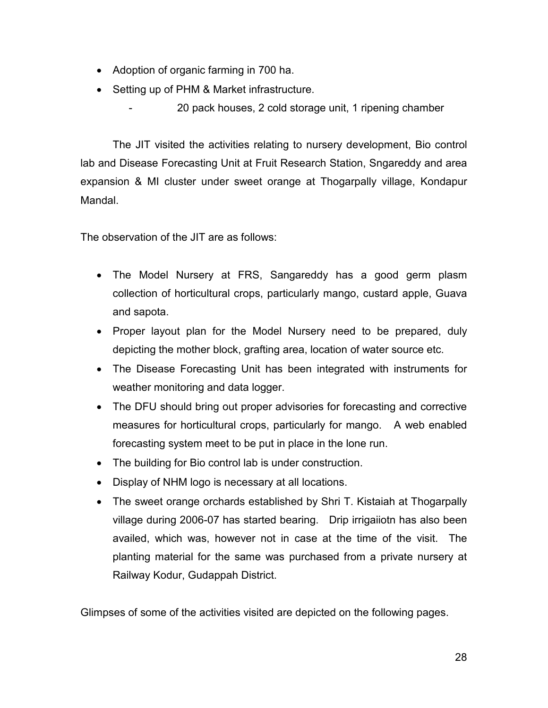- Adoption of organic farming in 700 ha.
- Setting up of PHM & Market infrastructure.
	- 20 pack houses, 2 cold storage unit, 1 ripening chamber

The JIT visited the activities relating to nursery development, Bio control lab and Disease Forecasting Unit at Fruit Research Station, Sngareddy and area expansion & MI cluster under sweet orange at Thogarpally village, Kondapur Mandal.

The observation of the JIT are as follows:

- The Model Nursery at FRS, Sangareddy has a good germ plasm collection of horticultural crops, particularly mango, custard apple, Guava and sapota.
- Proper layout plan for the Model Nursery need to be prepared, duly depicting the mother block, grafting area, location of water source etc.
- The Disease Forecasting Unit has been integrated with instruments for weather monitoring and data logger.
- The DFU should bring out proper advisories for forecasting and corrective measures for horticultural crops, particularly for mango. A web enabled forecasting system meet to be put in place in the lone run.
- The building for Bio control lab is under construction.
- Display of NHM logo is necessary at all locations.
- The sweet orange orchards established by Shri T. Kistaiah at Thogarpally village during 2006-07 has started bearing. Drip irrigaiiotn has also been availed, which was, however not in case at the time of the visit. The planting material for the same was purchased from a private nursery at Railway Kodur, Gudappah District.

Glimpses of some of the activities visited are depicted on the following pages.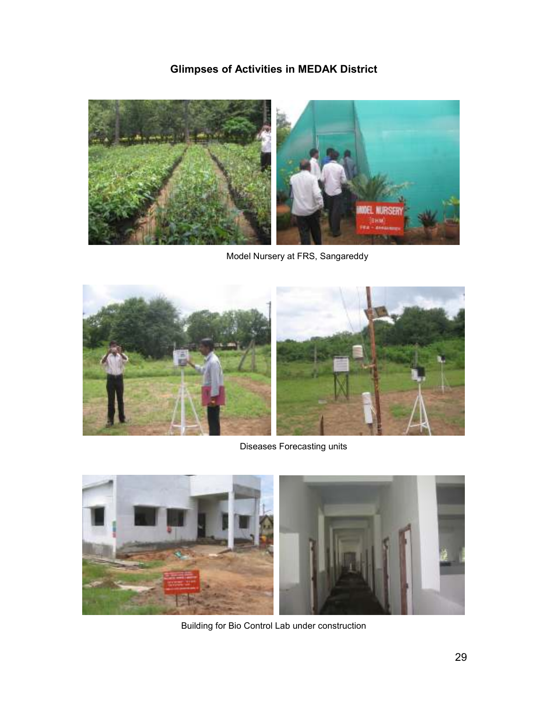# Glimpses of Activities in MEDAK District



Model Nursery at FRS, Sangareddy



Diseases Forecasting units



Building for Bio Control Lab under construction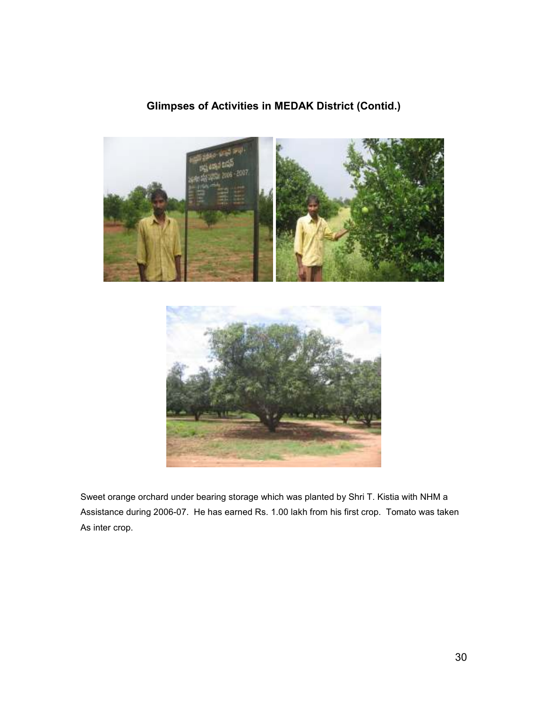# Glimpses of Activities in MEDAK District (Contid.)





Sweet orange orchard under bearing storage which was planted by Shri T. Kistia with NHM a Assistance during 2006-07. He has earned Rs. 1.00 lakh from his first crop. Tomato was taken As inter crop.